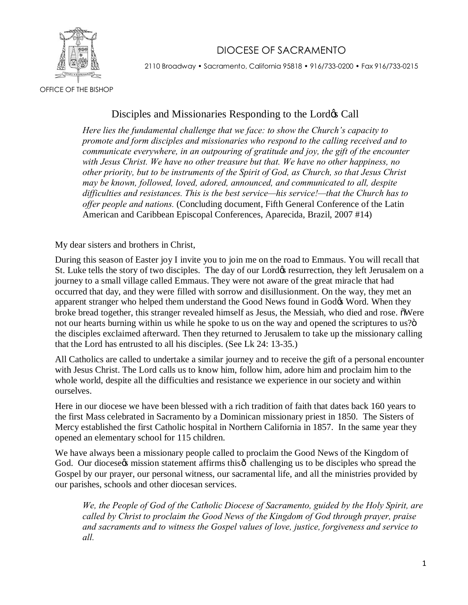## DIOCESE OF SACRAMENTO



2110 Broadway • Sacramento, California 95818 • 916/733-0200 • Fax 916/733-0215

OFFICE OF THE BISHOP

## Disciples and Missionaries Responding to the Lord& Call

*Here lies the fundamental challenge that we face: to show the Church's capacity to promote and form disciples and missionaries who respond to the calling received and to communicate everywhere, in an outpouring of gratitude and joy, the gift of the encounter with Jesus Christ. We have no other treasure but that. We have no other happiness, no other priority, but to be instruments of the Spirit of God, as Church, so that Jesus Christ may be known, followed, loved, adored, announced, and communicated to all, despite difficulties and resistances. This is the best service—his service!—that the Church has to offer people and nations.* (Concluding document, Fifth General Conference of the Latin American and Caribbean Episcopal Conferences, Aparecida, Brazil, 2007 #14)

My dear sisters and brothers in Christ,

During this season of Easter joy I invite you to join me on the road to Emmaus. You will recall that St. Luke tells the story of two disciples. The day of our Lord $\phi$  resurrection, they left Jerusalem on a journey to a small village called Emmaus. They were not aware of the great miracle that had occurred that day, and they were filled with sorrow and disillusionment. On the way, they met an apparent stranger who helped them understand the Good News found in God& Word. When they broke bread together, this stranger revealed himself as Jesus, the Messiah, who died and rose. "Were not our hearts burning within us while he spoke to us on the way and opened the scriptures to us?" the disciples exclaimed afterward. Then they returned to Jerusalem to take up the missionary calling that the Lord has entrusted to all his disciples. (See Lk 24: 13-35.)

All Catholics are called to undertake a similar journey and to receive the gift of a personal encounter with Jesus Christ. The Lord calls us to know him, follow him, adore him and proclaim him to the whole world, despite all the difficulties and resistance we experience in our society and within ourselves.

Here in our diocese we have been blessed with a rich tradition of faith that dates back 160 years to the first Mass celebrated in Sacramento by a Dominican missionary priest in 1850. The Sisters of Mercy established the first Catholic hospital in Northern California in 1857. In the same year they opened an elementary school for 115 children.

We have always been a missionary people called to proclaim the Good News of the Kingdom of God. Our diocese t mission statement affirms this  $\hat{\sigma}$  challenging us to be disciples who spread the Gospel by our prayer, our personal witness, our sacramental life, and all the ministries provided by our parishes, schools and other diocesan services.

*We, the People of God of the Catholic Diocese of Sacramento, guided by the Holy Spirit, are called by Christ to proclaim the Good News of the Kingdom of God through prayer, praise and sacraments and to witness the Gospel values of love, justice, forgiveness and service to all.*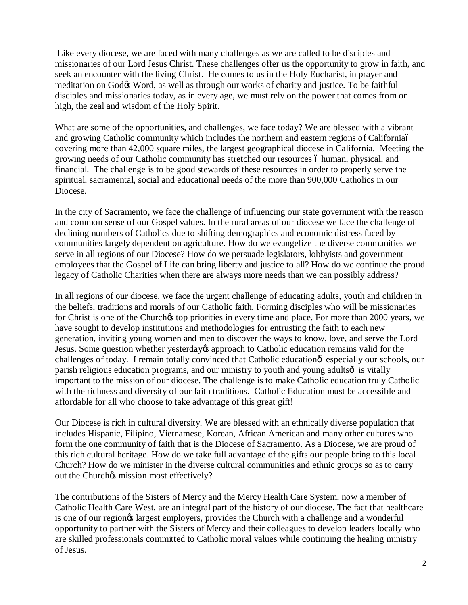Like every diocese, we are faced with many challenges as we are called to be disciples and missionaries of our Lord Jesus Christ. These challenges offer us the opportunity to grow in faith, and seek an encounter with the living Christ. He comes to us in the Holy Eucharist, in prayer and meditation on God $\&$  Word, as well as through our works of charity and justice. To be faithful disciples and missionaries today, as in every age, we must rely on the power that comes from on high, the zeal and wisdom of the Holy Spirit.

What are some of the opportunities, and challenges, we face today? We are blessed with a vibrant and growing Catholic community which includes the northern and eastern regions of California– covering more than 42,000 square miles, the largest geographical diocese in California. Meeting the growing needs of our Catholic community has stretched our resources 6 human, physical, and financial. The challenge is to be good stewards of these resources in order to properly serve the spiritual, sacramental, social and educational needs of the more than 900,000 Catholics in our Diocese.

In the city of Sacramento, we face the challenge of influencing our state government with the reason and common sense of our Gospel values. In the rural areas of our diocese we face the challenge of declining numbers of Catholics due to shifting demographics and economic distress faced by communities largely dependent on agriculture. How do we evangelize the diverse communities we serve in all regions of our Diocese? How do we persuade legislators, lobbyists and government employees that the Gospel of Life can bring liberty and justice to all? How do we continue the proud legacy of Catholic Charities when there are always more needs than we can possibly address?

In all regions of our diocese, we face the urgent challenge of educating adults, youth and children in the beliefs, traditions and morals of our Catholic faith. Forming disciples who will be missionaries for Christ is one of the Churchos top priorities in every time and place. For more than 2000 years, we have sought to develop institutions and methodologies for entrusting the faith to each new generation, inviting young women and men to discover the ways to know, love, and serve the Lord Jesus. Some question whether yesterday opproach to Catholic education remains valid for the challenges of today. I remain totally convinced that Catholic education  $\hat{\theta}$  especially our schools, our parish religious education programs, and our ministry to youth and young adults  $\delta$  is vitally important to the mission of our diocese. The challenge is to make Catholic education truly Catholic with the richness and diversity of our faith traditions. Catholic Education must be accessible and affordable for all who choose to take advantage of this great gift!

Our Diocese is rich in cultural diversity. We are blessed with an ethnically diverse population that includes Hispanic, Filipino, Vietnamese, Korean, African American and many other cultures who form the one community of faith that is the Diocese of Sacramento. As a Diocese, we are proud of this rich cultural heritage. How do we take full advantage of the gifts our people bring to this local Church? How do we minister in the diverse cultural communities and ethnic groups so as to carry out the Church $\alpha$  mission most effectively?

The contributions of the Sisters of Mercy and the Mercy Health Care System, now a member of Catholic Health Care West, are an integral part of the history of our diocese. The fact that healthcare is one of our region $\alpha$  largest employers, provides the Church with a challenge and a wonderful opportunity to partner with the Sisters of Mercy and their colleagues to develop leaders locally who are skilled professionals committed to Catholic moral values while continuing the healing ministry of Jesus.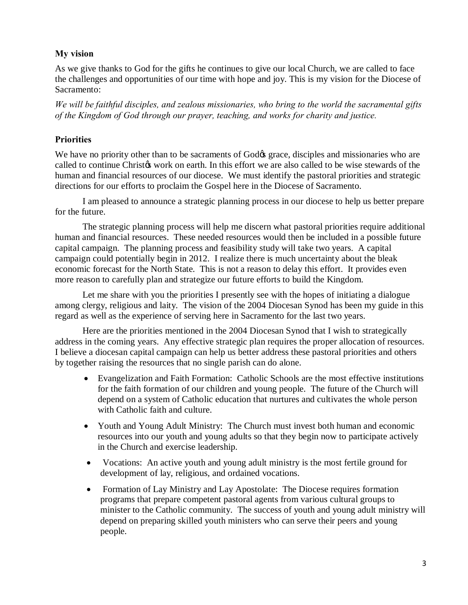## **My vision**

As we give thanks to God for the gifts he continues to give our local Church, we are called to face the challenges and opportunities of our time with hope and joy. This is my vision for the Diocese of Sacramento:

*We will be faithful disciples, and zealous missionaries, who bring to the world the sacramental gifts of the Kingdom of God through our prayer, teaching, and works for charity and justice.* 

## **Priorities**

We have no priority other than to be sacraments of God& grace, disciples and missionaries who are called to continue Christos work on earth. In this effort we are also called to be wise stewards of the human and financial resources of our diocese. We must identify the pastoral priorities and strategic directions for our efforts to proclaim the Gospel here in the Diocese of Sacramento.

I am pleased to announce a strategic planning process in our diocese to help us better prepare for the future.

The strategic planning process will help me discern what pastoral priorities require additional human and financial resources. These needed resources would then be included in a possible future capital campaign. The planning process and feasibility study will take two years. A capital campaign could potentially begin in 2012. I realize there is much uncertainty about the bleak economic forecast for the North State. This is not a reason to delay this effort. It provides even more reason to carefully plan and strategize our future efforts to build the Kingdom.

Let me share with you the priorities I presently see with the hopes of initiating a dialogue among clergy, religious and laity. The vision of the 2004 Diocesan Synod has been my guide in this regard as well as the experience of serving here in Sacramento for the last two years.

Here are the priorities mentioned in the 2004 Diocesan Synod that I wish to strategically address in the coming years. Any effective strategic plan requires the proper allocation of resources. I believe a diocesan capital campaign can help us better address these pastoral priorities and others by together raising the resources that no single parish can do alone.

- · Evangelization and Faith Formation: Catholic Schools are the most effective institutions for the faith formation of our children and young people. The future of the Church will depend on a system of Catholic education that nurtures and cultivates the whole person with Catholic faith and culture.
- Youth and Young Adult Ministry: The Church must invest both human and economic resources into our youth and young adults so that they begin now to participate actively in the Church and exercise leadership.
- Vocations: An active youth and young adult ministry is the most fertile ground for development of lay, religious, and ordained vocations.
- Formation of Lay Ministry and Lay Apostolate: The Diocese requires formation programs that prepare competent pastoral agents from various cultural groups to minister to the Catholic community. The success of youth and young adult ministry will depend on preparing skilled youth ministers who can serve their peers and young people.